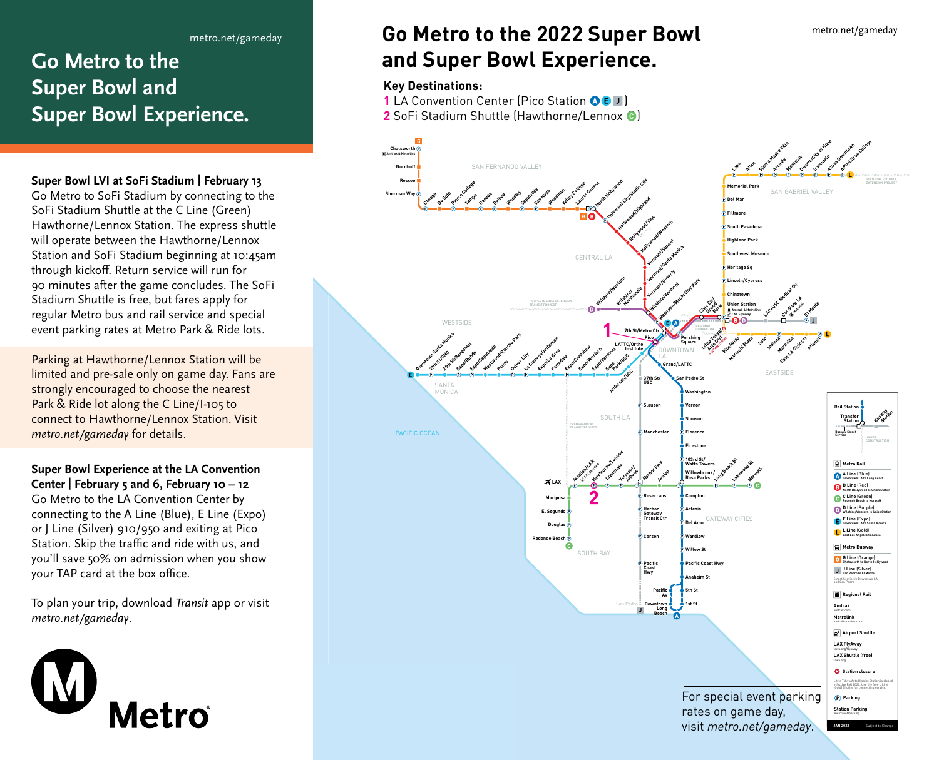## **Go Metro to the Super Bowl and Super Bowl Experience.**

#### **Super Bowl LVI at SoFi Stadium | February 13**

Go Metro to SoFi Stadium by connecting to the SoFi Stadium Shuttle at the C Line (Green) Hawthorne/Lennox Station. The express shuttle will operate between the Hawthorne/Lennox Station and SoFi Stadium beginning at 10:45am through kickoff. Return service will run for 90 minutes after the game concludes. The SoFi Stadium Shuttle is free, but fares apply for regular Metro bus and rail service and special event parking rates at Metro Park & Ride lots.

Parking at Hawthorne/Lennox Station will be limited and pre-sale only on game day. Fans are strongly encouraged to choose the nearest Park & Ride lot along the C Line/I-105 to connect to Hawthorne/Lennox Station. Visit *metro.net/gameday* for details.

### **Super Bowl Experience at the LA Convention Center | February 5 and 6, February 10 – 12** Go Metro to the LA Convention Center by connecting to the A Line (Blue), E Line (Expo) or J Line (Silver) 910/950 and exiting at Pico Station. Skip the traffic and ride with us, and you'll save 50% on admission when you show your TAP card at the box office.

To plan your trip, download *Transit* app or visit *metro.net/gameday*.



#### **Key Destinations: Go Metro to the 2022 Super Bowl and Super Bowl Experience. Go Metro to the 2022 Super Bowl and Super Bowl Experience.**

### **1 Key Destinations:**

**1** LA Convention Center (Pico Station ●●■) **2** SoFi Stadium Shuttle (Hawthorne/Lennox ●)